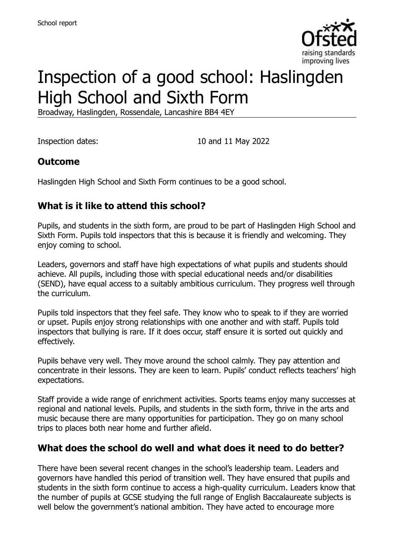

# Inspection of a good school: Haslingden High School and Sixth Form

Broadway, Haslingden, Rossendale, Lancashire BB4 4EY

Inspection dates: 10 and 11 May 2022

# **Outcome**

Haslingden High School and Sixth Form continues to be a good school.

# **What is it like to attend this school?**

Pupils, and students in the sixth form, are proud to be part of Haslingden High School and Sixth Form. Pupils told inspectors that this is because it is friendly and welcoming. They enjoy coming to school.

Leaders, governors and staff have high expectations of what pupils and students should achieve. All pupils, including those with special educational needs and/or disabilities (SEND), have equal access to a suitably ambitious curriculum. They progress well through the curriculum.

Pupils told inspectors that they feel safe. They know who to speak to if they are worried or upset. Pupils enjoy strong relationships with one another and with staff. Pupils told inspectors that bullying is rare. If it does occur, staff ensure it is sorted out quickly and effectively.

Pupils behave very well. They move around the school calmly. They pay attention and concentrate in their lessons. They are keen to learn. Pupils' conduct reflects teachers' high expectations.

Staff provide a wide range of enrichment activities. Sports teams enjoy many successes at regional and national levels. Pupils, and students in the sixth form, thrive in the arts and music because there are many opportunities for participation. They go on many school trips to places both near home and further afield.

#### **What does the school do well and what does it need to do better?**

There have been several recent changes in the school's leadership team. Leaders and governors have handled this period of transition well. They have ensured that pupils and students in the sixth form continue to access a high-quality curriculum. Leaders know that the number of pupils at GCSE studying the full range of English Baccalaureate subjects is well below the government's national ambition. They have acted to encourage more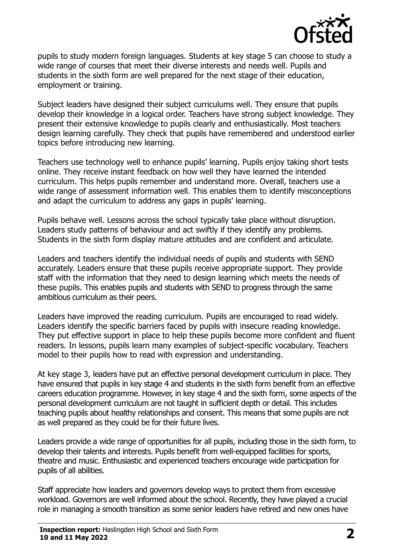

pupils to study modern foreign languages. Students at key stage 5 can choose to study a wide range of courses that meet their diverse interests and needs well. Pupils and students in the sixth form are well prepared for the next stage of their education, employment or training.

Subject leaders have designed their subject curriculums well. They ensure that pupils develop their knowledge in a logical order. Teachers have strong subject knowledge. They present their extensive knowledge to pupils clearly and enthusiastically. Most teachers design learning carefully. They check that pupils have remembered and understood earlier topics before introducing new learning.

Teachers use technology well to enhance pupils' learning. Pupils enjoy taking short tests online. They receive instant feedback on how well they have learned the intended curriculum. This helps pupils remember and understand more. Overall, teachers use a wide range of assessment information well. This enables them to identify misconceptions and adapt the curriculum to address any gaps in pupils' learning.

Pupils behave well. Lessons across the school typically take place without disruption. Leaders study patterns of behaviour and act swiftly if they identify any problems. Students in the sixth form display mature attitudes and are confident and articulate.

Leaders and teachers identify the individual needs of pupils and students with SEND accurately. Leaders ensure that these pupils receive appropriate support. They provide staff with the information that they need to design learning which meets the needs of these pupils. This enables pupils and students with SEND to progress through the same ambitious curriculum as their peers.

Leaders have improved the reading curriculum. Pupils are encouraged to read widely. Leaders identify the specific barriers faced by pupils with insecure reading knowledge. They put effective support in place to help these pupils become more confident and fluent readers. In lessons, pupils learn many examples of subject-specific vocabulary. Teachers model to their pupils how to read with expression and understanding.

At key stage 3, leaders have put an effective personal development curriculum in place. They have ensured that pupils in key stage 4 and students in the sixth form benefit from an effective careers education programme. However, in key stage 4 and the sixth form, some aspects of the personal development curriculum are not taught in sufficient depth or detail. This includes teaching pupils about healthy relationships and consent. This means that some pupils are not as well prepared as they could be for their future lives.

Leaders provide a wide range of opportunities for all pupils, including those in the sixth form, to develop their talents and interests. Pupils benefit from well-equipped facilities for sports, theatre and music. Enthusiastic and experienced teachers encourage wide participation for pupils of all abilities.

Staff appreciate how leaders and governors develop ways to protect them from excessive workload. Governors are well informed about the school. Recently, they have played a crucial role in managing a smooth transition as some senior leaders have retired and new ones have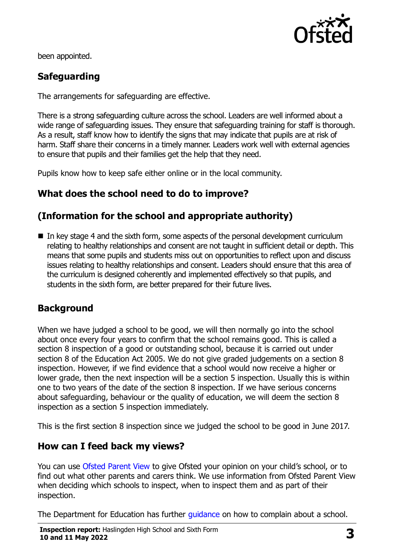

been appointed.

# **Safeguarding**

The arrangements for safeguarding are effective.

There is a strong safeguarding culture across the school. Leaders are well informed about a wide range of safeguarding issues. They ensure that safeguarding training for staff is thorough. As a result, staff know how to identify the signs that may indicate that pupils are at risk of harm. Staff share their concerns in a timely manner. Leaders work well with external agencies to ensure that pupils and their families get the help that they need.

Pupils know how to keep safe either online or in the local community.

# **What does the school need to do to improve?**

# **(Information for the school and appropriate authority)**

■ In key stage 4 and the sixth form, some aspects of the personal development curriculum relating to healthy relationships and consent are not taught in sufficient detail or depth. This means that some pupils and students miss out on opportunities to reflect upon and discuss issues relating to healthy relationships and consent. Leaders should ensure that this area of the curriculum is designed coherently and implemented effectively so that pupils, and students in the sixth form, are better prepared for their future lives.

# **Background**

When we have judged a school to be good, we will then normally go into the school about once every four years to confirm that the school remains good. This is called a section 8 inspection of a good or outstanding school, because it is carried out under section 8 of the Education Act 2005. We do not give graded judgements on a section 8 inspection. However, if we find evidence that a school would now receive a higher or lower grade, then the next inspection will be a section 5 inspection. Usually this is within one to two years of the date of the section 8 inspection. If we have serious concerns about safeguarding, behaviour or the quality of education, we will deem the section 8 inspection as a section 5 inspection immediately.

This is the first section 8 inspection since we judged the school to be good in June 2017.

#### **How can I feed back my views?**

You can use [Ofsted Parent View](https://parentview.ofsted.gov.uk/) to give Ofsted your opinion on your child's school, or to find out what other parents and carers think. We use information from Ofsted Parent View when deciding which schools to inspect, when to inspect them and as part of their inspection.

The Department for Education has further quidance on how to complain about a school.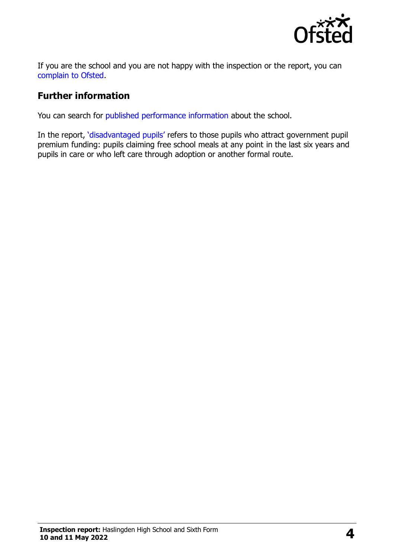

If you are the school and you are not happy with the inspection or the report, you can [complain to Ofsted.](https://www.gov.uk/complain-ofsted-report)

#### **Further information**

You can search for [published performance information](http://www.compare-school-performance.service.gov.uk/) about the school.

In the report, '[disadvantaged pupils](http://www.gov.uk/guidance/pupil-premium-information-for-schools-and-alternative-provision-settings)' refers to those pupils who attract government pupil premium funding: pupils claiming free school meals at any point in the last six years and pupils in care or who left care through adoption or another formal route.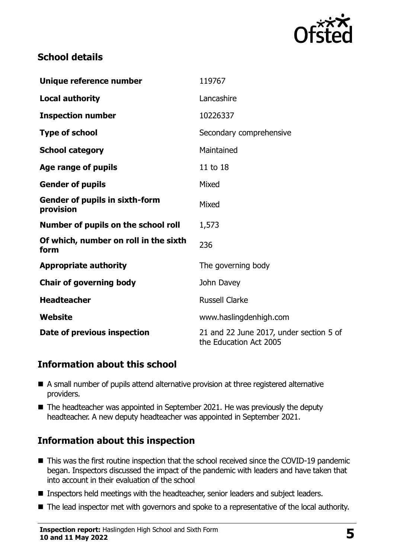

#### **School details**

| Unique reference number                            | 119767                                                            |
|----------------------------------------------------|-------------------------------------------------------------------|
| <b>Local authority</b>                             | Lancashire                                                        |
| <b>Inspection number</b>                           | 10226337                                                          |
| <b>Type of school</b>                              | Secondary comprehensive                                           |
| <b>School category</b>                             | Maintained                                                        |
| Age range of pupils                                | 11 to 18                                                          |
| <b>Gender of pupils</b>                            | Mixed                                                             |
| <b>Gender of pupils in sixth-form</b><br>provision | Mixed                                                             |
| Number of pupils on the school roll                | 1,573                                                             |
| Of which, number on roll in the sixth<br>form      | 236                                                               |
| <b>Appropriate authority</b>                       | The governing body                                                |
| <b>Chair of governing body</b>                     | John Davey                                                        |
| <b>Headteacher</b>                                 | <b>Russell Clarke</b>                                             |
| Website                                            | www.haslingdenhigh.com                                            |
| Date of previous inspection                        | 21 and 22 June 2017, under section 5 of<br>the Education Act 2005 |

# **Information about this school**

- A small number of pupils attend alternative provision at three registered alternative providers.
- The headteacher was appointed in September 2021. He was previously the deputy headteacher. A new deputy headteacher was appointed in September 2021.

# **Information about this inspection**

- This was the first routine inspection that the school received since the COVID-19 pandemic began. Inspectors discussed the impact of the pandemic with leaders and have taken that into account in their evaluation of the school
- Inspectors held meetings with the headteacher, senior leaders and subject leaders.
- The lead inspector met with governors and spoke to a representative of the local authority.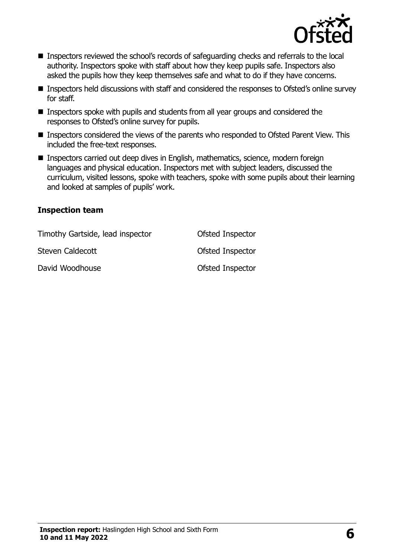

- Inspectors reviewed the school's records of safeguarding checks and referrals to the local authority. Inspectors spoke with staff about how they keep pupils safe. Inspectors also asked the pupils how they keep themselves safe and what to do if they have concerns.
- Inspectors held discussions with staff and considered the responses to Ofsted's online survey for staff.
- Inspectors spoke with pupils and students from all year groups and considered the responses to Ofsted's online survey for pupils.
- Inspectors considered the views of the parents who responded to Ofsted Parent View. This included the free-text responses.
- Inspectors carried out deep dives in English, mathematics, science, modern foreign languages and physical education. Inspectors met with subject leaders, discussed the curriculum, visited lessons, spoke with teachers, spoke with some pupils about their learning and looked at samples of pupils' work.

#### **Inspection team**

| Timothy Gartside, lead inspector | Ofsted Inspector |
|----------------------------------|------------------|
| Steven Caldecott                 | Ofsted Inspector |
| David Woodhouse                  | Ofsted Inspector |